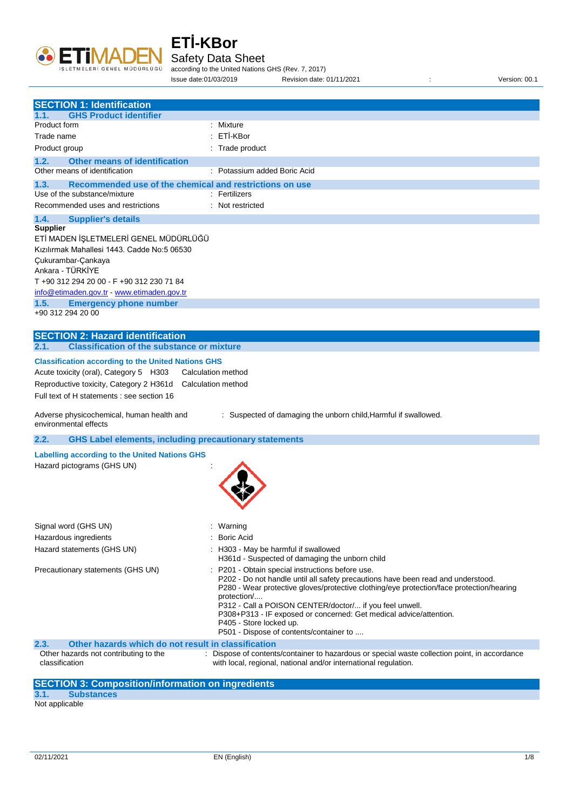

Safety Data Sheet

according to the United Nations GHS (Rev. 7, 2017) Issue date:01/03/2019 Revision date: 01/11/2021 : Version: 00.1

| <b>SECTION 1: Identification</b>                                                                                                                                                                                                                                                                           |                                                                                                                                                                                                                                                                                                                                                                                                                                                      |
|------------------------------------------------------------------------------------------------------------------------------------------------------------------------------------------------------------------------------------------------------------------------------------------------------------|------------------------------------------------------------------------------------------------------------------------------------------------------------------------------------------------------------------------------------------------------------------------------------------------------------------------------------------------------------------------------------------------------------------------------------------------------|
| <b>GHS Product identifier</b><br>1.1.<br>Product form                                                                                                                                                                                                                                                      | : Mixture                                                                                                                                                                                                                                                                                                                                                                                                                                            |
| Trade name                                                                                                                                                                                                                                                                                                 | ETİ-KBor                                                                                                                                                                                                                                                                                                                                                                                                                                             |
|                                                                                                                                                                                                                                                                                                            | : Trade product                                                                                                                                                                                                                                                                                                                                                                                                                                      |
| Product group                                                                                                                                                                                                                                                                                              |                                                                                                                                                                                                                                                                                                                                                                                                                                                      |
| 1.2.<br><b>Other means of identification</b><br>Other means of identification                                                                                                                                                                                                                              | : Potassium added Boric Acid                                                                                                                                                                                                                                                                                                                                                                                                                         |
|                                                                                                                                                                                                                                                                                                            |                                                                                                                                                                                                                                                                                                                                                                                                                                                      |
| 1.3.<br>Recommended use of the chemical and restrictions on use<br>Use of the substance/mixture                                                                                                                                                                                                            | : Fertilizers                                                                                                                                                                                                                                                                                                                                                                                                                                        |
| Recommended uses and restrictions                                                                                                                                                                                                                                                                          | : Not restricted                                                                                                                                                                                                                                                                                                                                                                                                                                     |
| 1.4.<br><b>Supplier's details</b>                                                                                                                                                                                                                                                                          |                                                                                                                                                                                                                                                                                                                                                                                                                                                      |
| <b>Supplier</b><br>ETİ MADEN İŞLETMELERİ GENEL MÜDÜRLÜĞÜ<br>Kızılırmak Mahallesi 1443. Cadde No:5 06530<br>Çukurambar-Çankaya<br>Ankara - TÜRKİYE<br>T +90 312 294 20 00 - F +90 312 230 71 84<br>info@etimaden.gov.tr - www.etimaden.gov.tr<br>1.5.<br><b>Emergency phone number</b><br>+90 312 294 20 00 |                                                                                                                                                                                                                                                                                                                                                                                                                                                      |
| <b>SECTION 2: Hazard identification</b><br><b>Classification of the substance or mixture</b><br>2.1.                                                                                                                                                                                                       |                                                                                                                                                                                                                                                                                                                                                                                                                                                      |
| Acute toxicity (oral), Category 5 H303<br>Reproductive toxicity, Category 2 H361d<br>Full text of H statements : see section 16<br>Adverse physicochemical, human health and<br>environmental effects                                                                                                      | Calculation method<br>Calculation method<br>: Suspected of damaging the unborn child, Harmful if swallowed.                                                                                                                                                                                                                                                                                                                                          |
| 2.2.<br><b>GHS Label elements, including precautionary statements</b>                                                                                                                                                                                                                                      |                                                                                                                                                                                                                                                                                                                                                                                                                                                      |
| Labelling according to the United Nations GHS<br>Hazard pictograms (GHS UN)                                                                                                                                                                                                                                |                                                                                                                                                                                                                                                                                                                                                                                                                                                      |
| Signal word (GHS UN)                                                                                                                                                                                                                                                                                       | : Warning                                                                                                                                                                                                                                                                                                                                                                                                                                            |
| Hazardous ingredients                                                                                                                                                                                                                                                                                      | <b>Boric Acid</b>                                                                                                                                                                                                                                                                                                                                                                                                                                    |
| Hazard statements (GHS UN)                                                                                                                                                                                                                                                                                 | H303 - May be harmful if swallowed<br>H361d - Suspected of damaging the unborn child                                                                                                                                                                                                                                                                                                                                                                 |
| Precautionary statements (GHS UN)                                                                                                                                                                                                                                                                          | P201 - Obtain special instructions before use.<br>P202 - Do not handle until all safety precautions have been read and understood.<br>P280 - Wear protective gloves/protective clothing/eye protection/face protection/hearing<br>protection/<br>P312 - Call a POISON CENTER/doctor/ if you feel unwell.<br>P308+P313 - IF exposed or concerned: Get medical advice/attention.<br>P405 - Store locked up.<br>P501 - Dispose of contents/container to |
| Other hazards which do not result in classification<br>2.3.                                                                                                                                                                                                                                                |                                                                                                                                                                                                                                                                                                                                                                                                                                                      |
| Other hazards not contributing to the<br>classification                                                                                                                                                                                                                                                    | : Dispose of contents/container to hazardous or special waste collection point, in accordance<br>with local, regional, national and/or international regulation.                                                                                                                                                                                                                                                                                     |
| <b>SECTION 3: Composition/information on ingredients</b>                                                                                                                                                                                                                                                   |                                                                                                                                                                                                                                                                                                                                                                                                                                                      |
| 3.1.<br><b>Substances</b>                                                                                                                                                                                                                                                                                  |                                                                                                                                                                                                                                                                                                                                                                                                                                                      |

Not applicable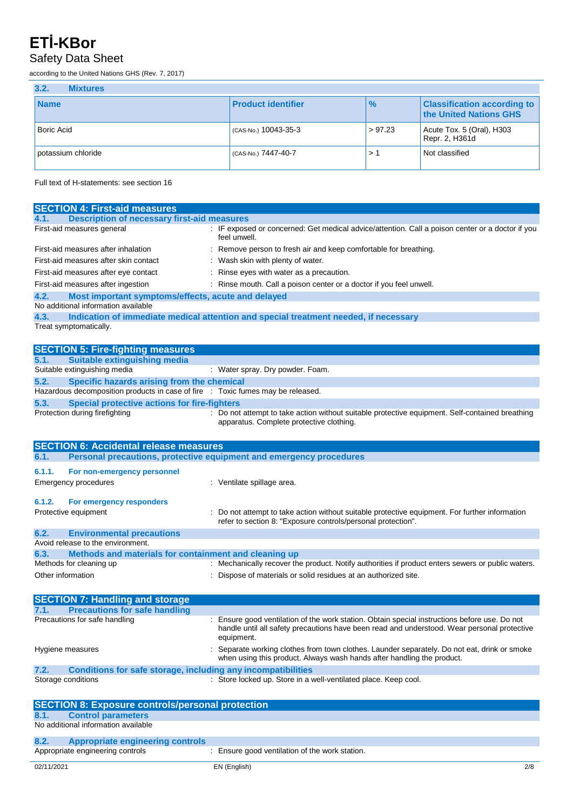#### Safety Data Sheet

according to the United Nations GHS (Rev. 7, 2017)

| 3.2.<br><b>Mixtures</b> |                           |               |                                                              |
|-------------------------|---------------------------|---------------|--------------------------------------------------------------|
| <b>Name</b>             | <b>Product identifier</b> | $\frac{1}{6}$ | <b>Classification according to</b><br>the United Nations GHS |
| <b>Boric Acid</b>       | (CAS-No.) 10043-35-3      | > 97.23       | Acute Tox. 5 (Oral), $H303$<br>Repr. 2, H361d                |
| potassium chloride      | (CAS-No.) 7447-40-7       | > 1           | Not classified                                               |

Full text of H-statements: see section 16

| <b>SECTION 4: First-aid measures</b>                                                     |                                                                                                                                                                                              |
|------------------------------------------------------------------------------------------|----------------------------------------------------------------------------------------------------------------------------------------------------------------------------------------------|
| <b>Description of necessary first-aid measures</b><br>4.1.                               |                                                                                                                                                                                              |
| First-aid measures general                                                               | : IF exposed or concerned: Get medical advice/attention. Call a poison center or a doctor if you<br>feel unwell.                                                                             |
| First-aid measures after inhalation                                                      | : Remove person to fresh air and keep comfortable for breathing.                                                                                                                             |
| First-aid measures after skin contact                                                    | : Wash skin with plenty of water.                                                                                                                                                            |
| First-aid measures after eye contact                                                     | : Rinse eyes with water as a precaution.                                                                                                                                                     |
| First-aid measures after ingestion                                                       | : Rinse mouth. Call a poison center or a doctor if you feel unwell.                                                                                                                          |
| 4.2.<br>Most important symptoms/effects, acute and delayed                               |                                                                                                                                                                                              |
| No additional information available                                                      |                                                                                                                                                                                              |
| 4.3.                                                                                     | Indication of immediate medical attention and special treatment needed, if necessary                                                                                                         |
| Treat symptomatically.                                                                   |                                                                                                                                                                                              |
|                                                                                          |                                                                                                                                                                                              |
| <b>SECTION 5: Fire-fighting measures</b>                                                 |                                                                                                                                                                                              |
| 5.1.<br><b>Suitable extinguishing media</b>                                              |                                                                                                                                                                                              |
| Suitable extinguishing media                                                             | : Water spray. Dry powder. Foam.                                                                                                                                                             |
| 5.2.<br>Specific hazards arising from the chemical                                       |                                                                                                                                                                                              |
| Hazardous decomposition products in case of fire : Toxic fumes may be released.          |                                                                                                                                                                                              |
| 5.3.<br><b>Special protective actions for fire-fighters</b>                              |                                                                                                                                                                                              |
| Protection during firefighting                                                           | : Do not attempt to take action without suitable protective equipment. Self-contained breathing<br>apparatus. Complete protective clothing.                                                  |
|                                                                                          |                                                                                                                                                                                              |
|                                                                                          |                                                                                                                                                                                              |
| <b>SECTION 6: Accidental release measures</b>                                            |                                                                                                                                                                                              |
| 6.1.                                                                                     | Personal precautions, protective equipment and emergency procedures                                                                                                                          |
| 6.1.1.<br>For non-emergency personnel                                                    |                                                                                                                                                                                              |
| <b>Emergency procedures</b>                                                              | : Ventilate spillage area.                                                                                                                                                                   |
|                                                                                          |                                                                                                                                                                                              |
| 6.1.2.<br>For emergency responders                                                       |                                                                                                                                                                                              |
| Protective equipment                                                                     | Do not attempt to take action without suitable protective equipment. For further information                                                                                                 |
|                                                                                          | refer to section 8: "Exposure controls/personal protection".                                                                                                                                 |
| 6.2.<br><b>Environmental precautions</b><br>Avoid release to the environment.            |                                                                                                                                                                                              |
|                                                                                          |                                                                                                                                                                                              |
| 6.3.<br>Methods and materials for containment and cleaning up<br>Methods for cleaning up | : Mechanically recover the product. Notify authorities if product enters sewers or public waters.                                                                                            |
| Other information                                                                        | Dispose of materials or solid residues at an authorized site.                                                                                                                                |
|                                                                                          |                                                                                                                                                                                              |
|                                                                                          |                                                                                                                                                                                              |
| <b>SECTION 7: Handling and storage</b>                                                   |                                                                                                                                                                                              |
| <b>Precautions for safe handling</b><br>7.1.<br>Precautions for safe handling            |                                                                                                                                                                                              |
|                                                                                          | : Ensure good ventilation of the work station. Obtain special instructions before use. Do not<br>handle until all safety precautions have been read and understood. Wear personal protective |
|                                                                                          | equipment.                                                                                                                                                                                   |
| Hygiene measures                                                                         | Separate working clothes from town clothes. Launder separately. Do not eat, drink or smoke                                                                                                   |
|                                                                                          | when using this product. Always wash hands after handling the product.                                                                                                                       |
| <b>Conditions for safe storage, including any incompatibilities</b><br>7.2.              |                                                                                                                                                                                              |
| Storage conditions                                                                       | : Store locked up. Store in a well-ventilated place. Keep cool.                                                                                                                              |
|                                                                                          |                                                                                                                                                                                              |
| <b>SECTION 8: Exposure controls/personal protection</b>                                  |                                                                                                                                                                                              |
| 8.1.<br><b>Control parameters</b>                                                        |                                                                                                                                                                                              |
| No additional information available                                                      |                                                                                                                                                                                              |
|                                                                                          |                                                                                                                                                                                              |
| <b>Appropriate engineering controls</b><br>8.2.<br>Appropriate engineering controls      | : Ensure good ventilation of the work station.                                                                                                                                               |
|                                                                                          |                                                                                                                                                                                              |
| 02/11/2021                                                                               | EN (English)<br>2/8                                                                                                                                                                          |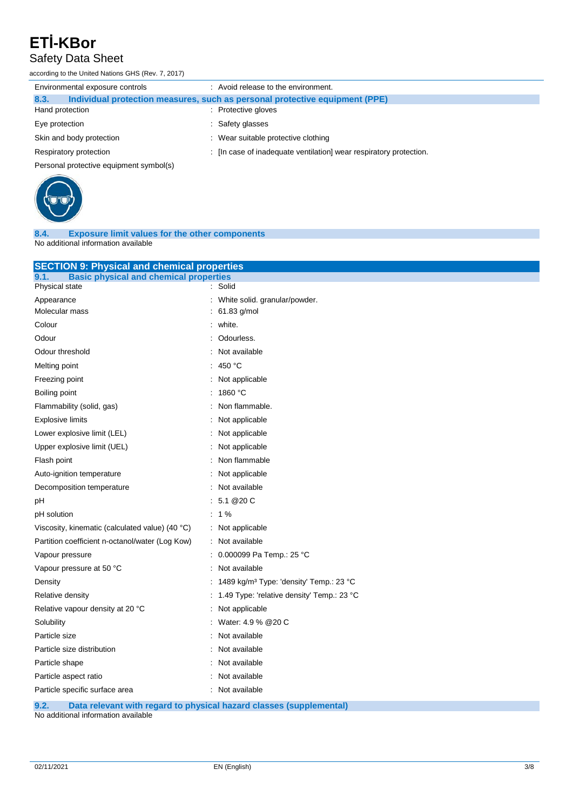#### Safety Data Sheet

according to the United Nations GHS (Rev. 7, 2017)

| Environmental exposure controls         | : Avoid release to the environment.                                         |
|-----------------------------------------|-----------------------------------------------------------------------------|
| 8.3.                                    | Individual protection measures, such as personal protective equipment (PPE) |
| Hand protection                         | : Protective gloves                                                         |
| Eye protection                          | : Safety glasses                                                            |
| Skin and body protection                | : Wear suitable protective clothing                                         |
| Respiratory protection                  | : [In case of inadequate ventilation] wear respiratory protection.          |
| Personal protective equipment symbol(s) |                                                                             |



**8.4. Exposure limit values for the other components** No additional information available

| <b>SECTION 9: Physical and chemical properties</b>    |                                                     |  |
|-------------------------------------------------------|-----------------------------------------------------|--|
| <b>Basic physical and chemical properties</b><br>9.1. | : Solid                                             |  |
| Physical state                                        |                                                     |  |
| Appearance<br>Molecular mass                          | White solid. granular/powder.<br>61.83 g/mol        |  |
|                                                       |                                                     |  |
| Colour                                                | white.                                              |  |
| Odour                                                 | Odourless.                                          |  |
| Odour threshold                                       | Not available                                       |  |
| Melting point                                         | 450 °C                                              |  |
| Freezing point                                        | Not applicable                                      |  |
| Boiling point                                         | 1860 °C                                             |  |
| Flammability (solid, gas)                             | Non flammable.                                      |  |
| <b>Explosive limits</b>                               | Not applicable                                      |  |
| Lower explosive limit (LEL)                           | Not applicable                                      |  |
| Upper explosive limit (UEL)                           | Not applicable                                      |  |
| Flash point                                           | Non flammable                                       |  |
| Auto-ignition temperature                             | Not applicable                                      |  |
| Decomposition temperature                             | Not available                                       |  |
| рH                                                    | 5.1 @20 C                                           |  |
| pH solution                                           | $: 1\%$                                             |  |
| Viscosity, kinematic (calculated value) (40 °C)       | : Not applicable                                    |  |
| Partition coefficient n-octanol/water (Log Kow)       | Not available                                       |  |
| Vapour pressure                                       | 0.000099 Pa Temp.: 25 °C                            |  |
| Vapour pressure at 50 °C                              | Not available                                       |  |
| Density                                               | 1489 kg/m <sup>3</sup> Type: 'density' Temp.: 23 °C |  |
| Relative density                                      | 1.49 Type: 'relative density' Temp.: 23 °C          |  |
| Relative vapour density at 20 °C                      | Not applicable                                      |  |
| Solubility                                            | Water: 4.9 % @ 20 C                                 |  |
| Particle size                                         | Not available                                       |  |
| Particle size distribution                            | Not available                                       |  |
| Particle shape                                        | Not available                                       |  |
| Particle aspect ratio                                 | Not available                                       |  |
| Particle specific surface area                        | : Not available                                     |  |
| <b>Charles Address</b>                                | وبالمستراة والمستو                                  |  |

**9.2. Data relevant with regard to physical hazard classes (supplemental)**

No additional information available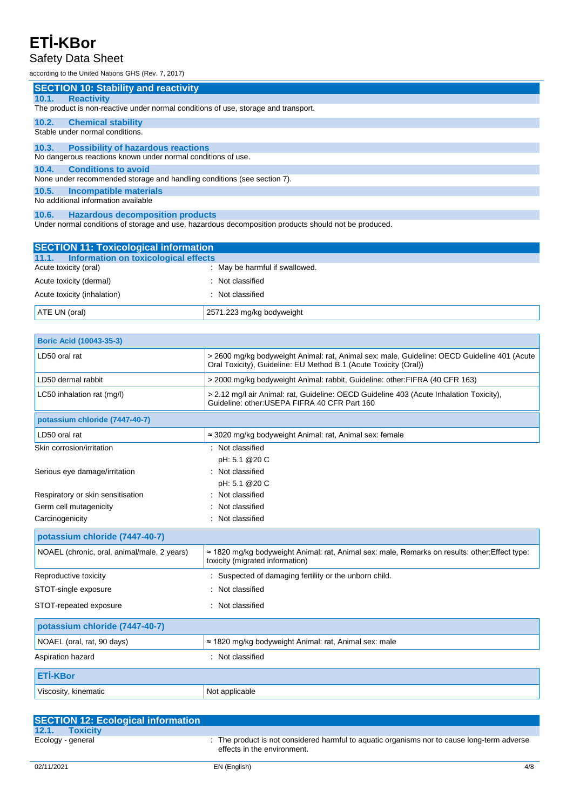#### Safety Data Sheet

according to the United Nations GHS (Rev. 7, 2017)

|       | <b>SECTION 10: Stability and reactivity</b>                                        |
|-------|------------------------------------------------------------------------------------|
| 10.1. | <b>Reactivity</b>                                                                  |
|       | The product is non-reactive under normal conditions of use, storage and transport. |
| 10.2. | <b>Chemical stability</b>                                                          |
|       | Stable under normal conditions.                                                    |
| 10.3. | <b>Possibility of hazardous reactions</b>                                          |
|       | No dangerous reactions known under normal conditions of use.                       |
| 10.4. | <b>Conditions to avoid</b>                                                         |
|       | None under recommended storage and handling conditions (see section 7).            |
| 10.5. | Incompatible materials                                                             |
|       | No additional information available                                                |
|       |                                                                                    |

**10.6. Hazardous decomposition products** Under normal conditions of storage and use, hazardous decomposition products should not be produced.

| <b>SECTION 11: Toxicological information</b> |                                |
|----------------------------------------------|--------------------------------|
| 11.1. Information on toxicological effects   |                                |
| Acute toxicity (oral)                        | : May be harmful if swallowed. |
| Acute toxicity (dermal)                      | : Not classified               |
| Acute toxicity (inhalation)                  | : Not classified               |
| ATE UN (oral)                                | 2571.223 mg/kg bodyweight      |

| <b>Boric Acid (10043-35-3)</b>              |                                                                                                                                                                 |
|---------------------------------------------|-----------------------------------------------------------------------------------------------------------------------------------------------------------------|
| LD50 oral rat                               | > 2600 mg/kg bodyweight Animal: rat, Animal sex: male, Guideline: OECD Guideline 401 (Acute<br>Oral Toxicity), Guideline: EU Method B.1 (Acute Toxicity (Oral)) |
| LD50 dermal rabbit                          | > 2000 mg/kg bodyweight Animal: rabbit, Guideline: other: FIFRA (40 CFR 163)                                                                                    |
| LC50 inhalation rat (mg/l)                  | > 2.12 mg/l air Animal: rat, Guideline: OECD Guideline 403 (Acute Inhalation Toxicity),<br>Guideline: other: USEPA FIFRA 40 CFR Part 160                        |
| potassium chloride (7447-40-7)              |                                                                                                                                                                 |
| LD50 oral rat                               | $\approx$ 3020 mg/kg bodyweight Animal: rat, Animal sex: female                                                                                                 |
| Skin corrosion/irritation                   | : Not classified                                                                                                                                                |
|                                             | pH: 5.1 @20 C                                                                                                                                                   |
| Serious eye damage/irritation               | : Not classified                                                                                                                                                |
|                                             | pH: 5.1 @20 C                                                                                                                                                   |
| Respiratory or skin sensitisation           | : Not classified                                                                                                                                                |
| Germ cell mutagenicity                      | Not classified                                                                                                                                                  |
| Carcinogenicity                             | Not classified                                                                                                                                                  |
| potassium chloride (7447-40-7)              |                                                                                                                                                                 |
| NOAEL (chronic, oral, animal/male, 2 years) | $\approx$ 1820 mg/kg bodyweight Animal: rat, Animal sex: male, Remarks on results: other: Effect type:<br>toxicity (migrated information)                       |
| Reproductive toxicity                       | : Suspected of damaging fertility or the unborn child.                                                                                                          |
| STOT-single exposure                        | : Not classified                                                                                                                                                |
| STOT-repeated exposure                      | : Not classified                                                                                                                                                |
| potassium chloride (7447-40-7)              |                                                                                                                                                                 |
| NOAEL (oral, rat, 90 days)                  | $\approx$ 1820 mg/kg bodyweight Animal: rat, Animal sex: male                                                                                                   |
| Aspiration hazard                           | : Not classified                                                                                                                                                |
| <b>ETİ-KBor</b>                             |                                                                                                                                                                 |
| Viscosity, kinematic                        | Not applicable                                                                                                                                                  |

| <b>SECTION 12: Ecological information</b> |                                                                                                                            |
|-------------------------------------------|----------------------------------------------------------------------------------------------------------------------------|
| 12.1. Toxicity                            |                                                                                                                            |
| Ecology - general                         | : The product is not considered harmful to aquatic organisms nor to cause long-term adverse<br>effects in the environment. |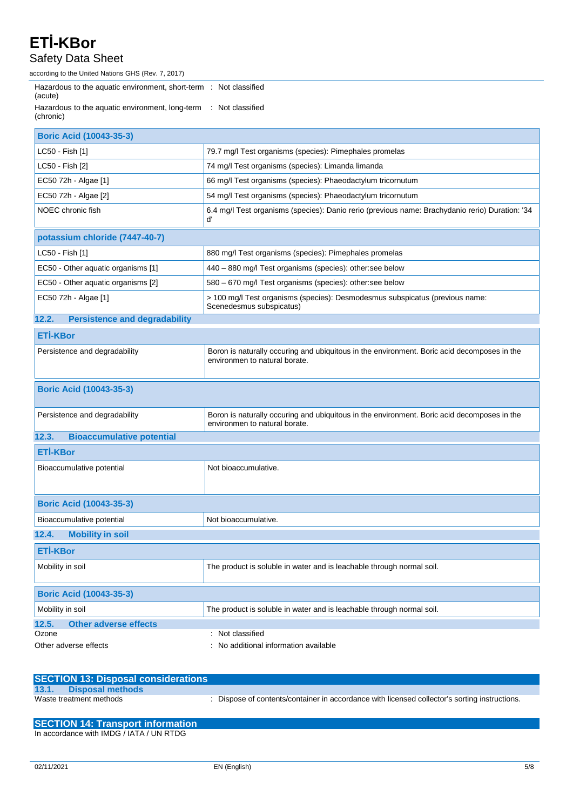#### Safety Data Sheet

according to the United Nations GHS (Rev. 7, 2017)

| Hazardous to the aquatic environment, short-term : Not classified<br>(acute) |                                                                                                                              |
|------------------------------------------------------------------------------|------------------------------------------------------------------------------------------------------------------------------|
| Hazardous to the aquatic environment, long-term<br>(chronic)                 | : Not classified                                                                                                             |
| <b>Boric Acid (10043-35-3)</b>                                               |                                                                                                                              |
| LC50 - Fish [1]                                                              | 79.7 mg/l Test organisms (species): Pimephales promelas                                                                      |
| LC50 - Fish [2]                                                              | 74 mg/l Test organisms (species): Limanda limanda                                                                            |
| EC50 72h - Algae [1]                                                         | 66 mg/l Test organisms (species): Phaeodactylum tricornutum                                                                  |
| EC50 72h - Algae [2]                                                         | 54 mg/l Test organisms (species): Phaeodactylum tricornutum                                                                  |
| NOEC chronic fish                                                            | 6.4 mg/l Test organisms (species): Danio rerio (previous name: Brachydanio rerio) Duration: '34<br>ď                         |
| potassium chloride (7447-40-7)                                               |                                                                                                                              |
| LC50 - Fish [1]                                                              | 880 mg/l Test organisms (species): Pimephales promelas                                                                       |
| EC50 - Other aquatic organisms [1]                                           | 440 - 880 mg/l Test organisms (species): other:see below                                                                     |
| EC50 - Other aquatic organisms [2]                                           | 580 - 670 mg/l Test organisms (species): other:see below                                                                     |
| EC50 72h - Algae [1]                                                         | > 100 mg/l Test organisms (species): Desmodesmus subspicatus (previous name:<br>Scenedesmus subspicatus)                     |
| <b>Persistence and degradability</b><br>12.2.                                |                                                                                                                              |
| <b>ETİ-KBor</b>                                                              |                                                                                                                              |
| Persistence and degradability                                                | Boron is naturally occuring and ubiquitous in the environment. Boric acid decomposes in the<br>environmen to natural borate. |
| <b>Boric Acid (10043-35-3)</b>                                               |                                                                                                                              |
| Persistence and degradability                                                | Boron is naturally occuring and ubiquitous in the environment. Boric acid decomposes in the<br>environmen to natural borate. |
| 12.3.<br><b>Bioaccumulative potential</b>                                    |                                                                                                                              |
| <b>ETİ-KBor</b>                                                              |                                                                                                                              |
| Bioaccumulative potential                                                    | Not bioaccumulative.                                                                                                         |
| <b>Boric Acid (10043-35-3)</b>                                               |                                                                                                                              |
| Bioaccumulative potential                                                    | Not bioaccumulative.                                                                                                         |
| <b>Mobility in soil</b><br>12.4.                                             |                                                                                                                              |
| <b>ETİ-KBor</b>                                                              |                                                                                                                              |
| Mobility in soil                                                             | The product is soluble in water and is leachable through normal soil.                                                        |
| <b>Boric Acid (10043-35-3)</b>                                               |                                                                                                                              |
| Mobility in soil                                                             | The product is soluble in water and is leachable through normal soil.                                                        |
| <b>Other adverse effects</b><br>12.5.                                        |                                                                                                                              |
| Ozone<br>Other adverse effects                                               | : Not classified<br>No additional information available                                                                      |
|                                                                              |                                                                                                                              |

| <b>SECTION 13: Disposal considerations</b> |                                                                                               |
|--------------------------------------------|-----------------------------------------------------------------------------------------------|
| 13.1. Disposal methods                     |                                                                                               |
| Waste treatment methods                    | : Dispose of contents/container in accordance with licensed collector's sorting instructions. |

| <b>SECTION 14: Transport information</b> |  |
|------------------------------------------|--|
| In accordance with IMDG / IATA / UN RTDG |  |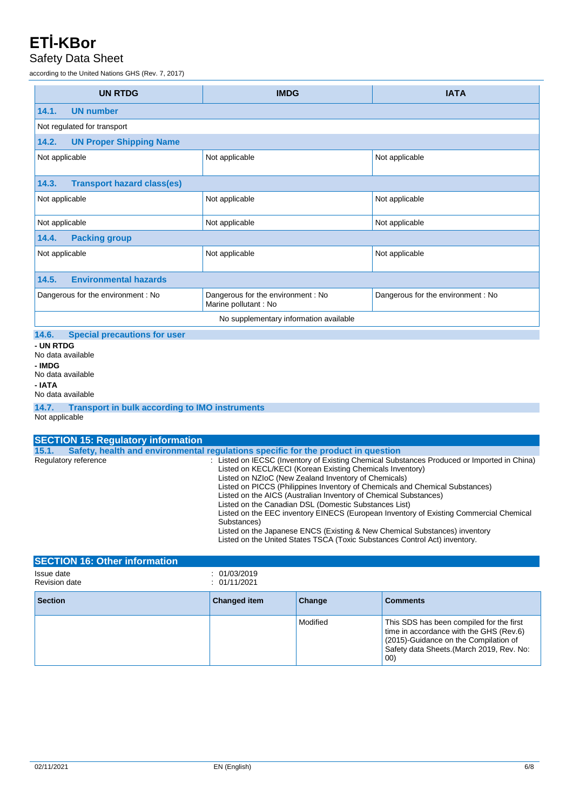#### Safety Data Sheet

according to the United Nations GHS (Rev. 7, 2017)

| <b>UN RTDG</b>                                                                               | <b>IMDG</b>                                                 | <b>IATA</b>                       |  |  |
|----------------------------------------------------------------------------------------------|-------------------------------------------------------------|-----------------------------------|--|--|
| 14.1.<br><b>UN number</b>                                                                    |                                                             |                                   |  |  |
| Not regulated for transport                                                                  |                                                             |                                   |  |  |
| 14.2.<br><b>UN Proper Shipping Name</b>                                                      |                                                             |                                   |  |  |
| Not applicable                                                                               | Not applicable                                              | Not applicable                    |  |  |
| <b>Transport hazard class(es)</b><br>14.3.                                                   |                                                             |                                   |  |  |
| Not applicable                                                                               | Not applicable                                              | Not applicable                    |  |  |
| Not applicable                                                                               | Not applicable                                              | Not applicable                    |  |  |
| <b>Packing group</b><br>14.4.                                                                |                                                             |                                   |  |  |
| Not applicable                                                                               | Not applicable                                              | Not applicable                    |  |  |
| <b>Environmental hazards</b><br>14.5.                                                        |                                                             |                                   |  |  |
| Dangerous for the environment: No                                                            | Dangerous for the environment : No<br>Marine pollutant : No | Dangerous for the environment: No |  |  |
| No supplementary information available                                                       |                                                             |                                   |  |  |
| <b>Special precautions for user</b><br>14.6.                                                 |                                                             |                                   |  |  |
| - UN RTDG<br>No data available<br>- IMDG<br>No data available<br>- IATA<br>No data available |                                                             |                                   |  |  |

**14.7. Transport in bulk according to IMO instruments** Not applicable

| <b>SECTION 15: Regulatory information</b> |                                                                                                                                                                                                                                                                                                                                                                                                                                                                                                                                                                                                                                                                                                    |
|-------------------------------------------|----------------------------------------------------------------------------------------------------------------------------------------------------------------------------------------------------------------------------------------------------------------------------------------------------------------------------------------------------------------------------------------------------------------------------------------------------------------------------------------------------------------------------------------------------------------------------------------------------------------------------------------------------------------------------------------------------|
| 15.1.                                     | Safety, health and environmental regulations specific for the product in question                                                                                                                                                                                                                                                                                                                                                                                                                                                                                                                                                                                                                  |
| Regulatory reference                      | : Listed on IECSC (Inventory of Existing Chemical Substances Produced or Imported in China)<br>Listed on KECL/KECI (Korean Existing Chemicals Inventory)<br>Listed on NZIoC (New Zealand Inventory of Chemicals)<br>Listed on PICCS (Philippines Inventory of Chemicals and Chemical Substances)<br>Listed on the AICS (Australian Inventory of Chemical Substances)<br>Listed on the Canadian DSL (Domestic Substances List)<br>Listed on the EEC inventory EINECS (European Inventory of Existing Commercial Chemical<br>Substances)<br>Listed on the Japanese ENCS (Existing & New Chemical Substances) inventory<br>Listed on the United States TSCA (Toxic Substances Control Act) inventory. |

| <b>SECTION 16: Other information</b> |                              |          |                                                                                                                                                                                  |
|--------------------------------------|------------------------------|----------|----------------------------------------------------------------------------------------------------------------------------------------------------------------------------------|
| Issue date<br><b>Revision date</b>   | : 01/03/2019<br>: 01/11/2021 |          |                                                                                                                                                                                  |
| <b>Section</b>                       | <b>Changed item</b>          | Change   | <b>Comments</b>                                                                                                                                                                  |
|                                      |                              | Modified | This SDS has been compiled for the first<br>time in accordance with the GHS (Rev.6)<br>(2015)-Guidance on the Compilation of<br>Safety data Sheets. (March 2019, Rev. No:<br>00) |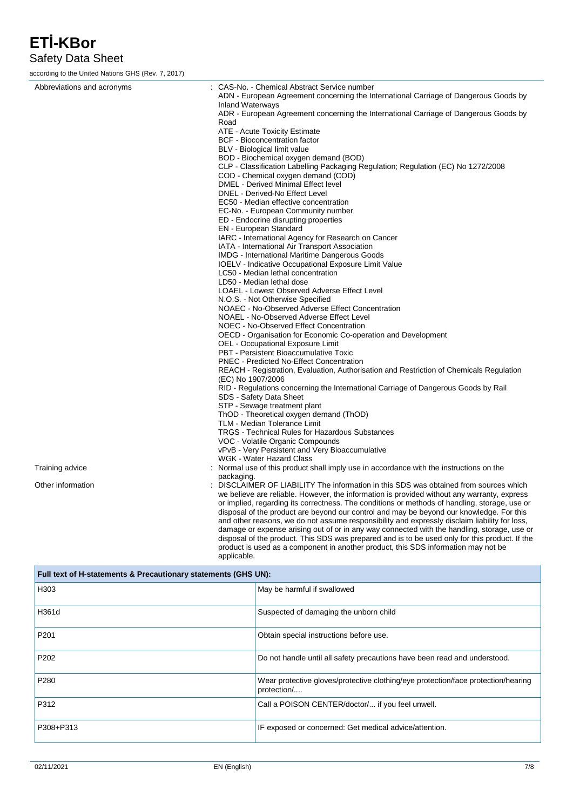Safety Data Sheet

according to the United Nations GHS (Rev. 7, 2017)

| Abbreviations and acronyms | : CAS-No. - Chemical Abstract Service number<br>ADN - European Agreement concerning the International Carriage of Dangerous Goods by                                                          |
|----------------------------|-----------------------------------------------------------------------------------------------------------------------------------------------------------------------------------------------|
|                            | <b>Inland Waterways</b>                                                                                                                                                                       |
|                            | ADR - European Agreement concerning the International Carriage of Dangerous Goods by                                                                                                          |
|                            | Road<br>ATE - Acute Toxicity Estimate                                                                                                                                                         |
|                            | <b>BCF</b> - Bioconcentration factor                                                                                                                                                          |
|                            | BLV - Biological limit value                                                                                                                                                                  |
|                            | BOD - Biochemical oxygen demand (BOD)                                                                                                                                                         |
|                            | CLP - Classification Labelling Packaging Regulation; Regulation (EC) No 1272/2008                                                                                                             |
|                            | COD - Chemical oxygen demand (COD)                                                                                                                                                            |
|                            | DMEL - Derived Minimal Effect level                                                                                                                                                           |
|                            | DNEL - Derived-No Effect Level                                                                                                                                                                |
|                            | EC50 - Median effective concentration                                                                                                                                                         |
|                            | EC-No. - European Community number                                                                                                                                                            |
|                            | ED - Endocrine disrupting properties                                                                                                                                                          |
|                            | <b>EN</b> - European Standard                                                                                                                                                                 |
|                            | IARC - International Agency for Research on Cancer                                                                                                                                            |
|                            | IATA - International Air Transport Association<br><b>IMDG</b> - International Maritime Dangerous Goods                                                                                        |
|                            | <b>IOELV</b> - Indicative Occupational Exposure Limit Value                                                                                                                                   |
|                            | LC50 - Median lethal concentration                                                                                                                                                            |
|                            | LD50 - Median lethal dose                                                                                                                                                                     |
|                            | LOAEL - Lowest Observed Adverse Effect Level                                                                                                                                                  |
|                            | N.O.S. - Not Otherwise Specified                                                                                                                                                              |
|                            | NOAEC - No-Observed Adverse Effect Concentration                                                                                                                                              |
|                            | NOAEL - No-Observed Adverse Effect Level                                                                                                                                                      |
|                            | NOEC - No-Observed Effect Concentration                                                                                                                                                       |
|                            | OECD - Organisation for Economic Co-operation and Development                                                                                                                                 |
|                            | OEL - Occupational Exposure Limit                                                                                                                                                             |
|                            | PBT - Persistent Bioaccumulative Toxic                                                                                                                                                        |
|                            | <b>PNEC - Predicted No-Effect Concentration</b>                                                                                                                                               |
|                            | REACH - Registration, Evaluation, Authorisation and Restriction of Chemicals Regulation<br>(EC) No 1907/2006                                                                                  |
|                            | RID - Regulations concerning the International Carriage of Dangerous Goods by Rail<br>SDS - Safety Data Sheet                                                                                 |
|                            | STP - Sewage treatment plant                                                                                                                                                                  |
|                            | ThOD - Theoretical oxygen demand (ThOD)                                                                                                                                                       |
|                            | TLM - Median Tolerance Limit<br>TRGS - Technical Rules for Hazardous Substances                                                                                                               |
|                            | VOC - Volatile Organic Compounds                                                                                                                                                              |
|                            | vPvB - Very Persistent and Very Bioaccumulative                                                                                                                                               |
|                            | WGK - Water Hazard Class                                                                                                                                                                      |
| Training advice            | Normal use of this product shall imply use in accordance with the instructions on the                                                                                                         |
|                            | packaging.                                                                                                                                                                                    |
| Other information          | DISCLAIMER OF LIABILITY The information in this SDS was obtained from sources which                                                                                                           |
|                            | we believe are reliable. However, the information is provided without any warranty, express                                                                                                   |
|                            | or implied, regarding its correctness. The conditions or methods of handling, storage, use or                                                                                                 |
|                            | disposal of the product are beyond our control and may be beyond our knowledge. For this                                                                                                      |
|                            | and other reasons, we do not assume responsibility and expressly disclaim liability for loss,                                                                                                 |
|                            | damage or expense arising out of or in any way connected with the handling, storage, use or<br>disposal of the product. This SDS was prepared and is to be used only for this product. If the |

applicable. **Full text of H-statements & Precautionary statements (GHS UN):** H303 **May be harmful if swallowed** May be harmful if swallowed H361d **Suspected of damaging the unborn child** Suspected of damaging the unborn child P201 **P201 Obtain special instructions before use.** P202 **Do not handle until all safety precautions have been read and understood.** P280 P280 P280 Wear protective gloves/protective clothing/eye protection/face protection/hearing protection/.... P312 **P312** Call a POISON CENTER/doctor/... if you feel unwell. P308+P313 **IF exposed or concerned: Get medical advice/attention.** 

product is used as a component in another product, this SDS information may not be